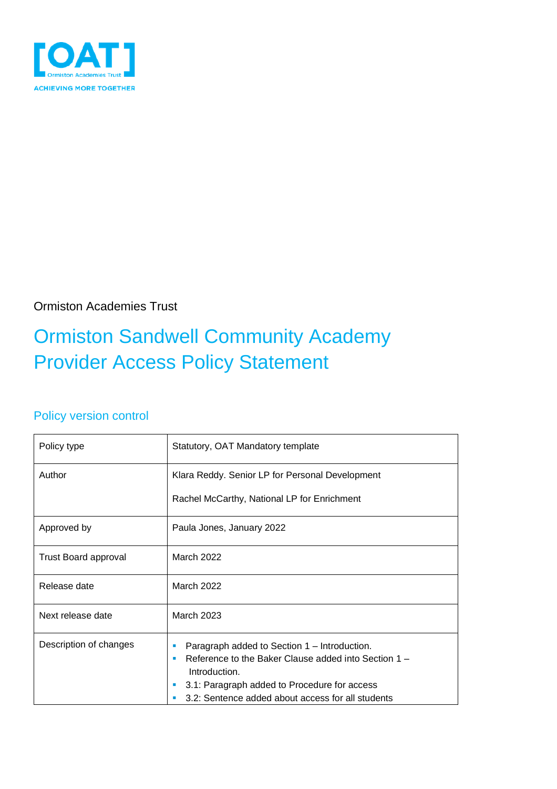

Ormiston Academies Trust

## Ormiston Sandwell Community Academy Provider Access Policy Statement

### Policy version control

| Policy type                 | Statutory, OAT Mandatory template                                                                                                                                                                                          |  |  |  |
|-----------------------------|----------------------------------------------------------------------------------------------------------------------------------------------------------------------------------------------------------------------------|--|--|--|
| Author                      | Klara Reddy. Senior LP for Personal Development<br>Rachel McCarthy, National LP for Enrichment                                                                                                                             |  |  |  |
| Approved by                 | Paula Jones, January 2022                                                                                                                                                                                                  |  |  |  |
| <b>Trust Board approval</b> | <b>March 2022</b>                                                                                                                                                                                                          |  |  |  |
| Release date                | <b>March 2022</b>                                                                                                                                                                                                          |  |  |  |
| Next release date           | <b>March 2023</b>                                                                                                                                                                                                          |  |  |  |
| Description of changes      | Paragraph added to Section 1 – Introduction.<br>Reference to the Baker Clause added into Section 1 -<br>Introduction.<br>3.1: Paragraph added to Procedure for access<br>3.2: Sentence added about access for all students |  |  |  |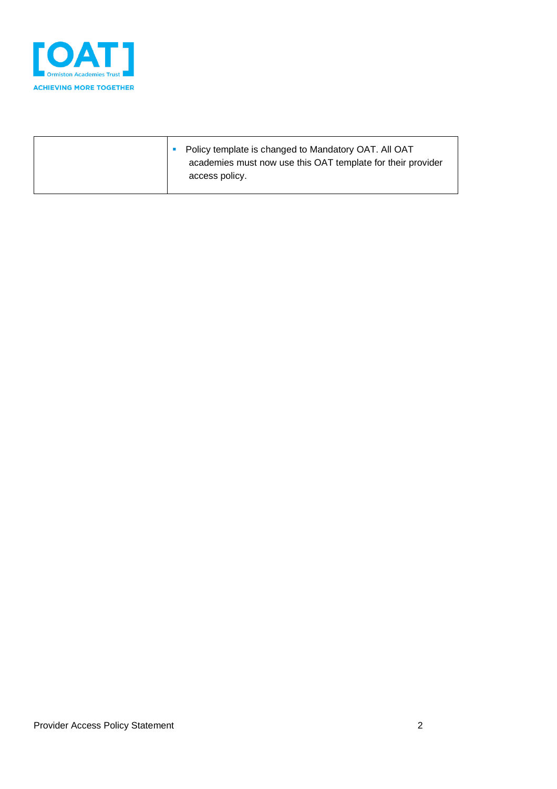

| Policy template is changed to Mandatory OAT. All OAT<br>academies must now use this OAT template for their provider<br>access policy. |
|---------------------------------------------------------------------------------------------------------------------------------------|
|---------------------------------------------------------------------------------------------------------------------------------------|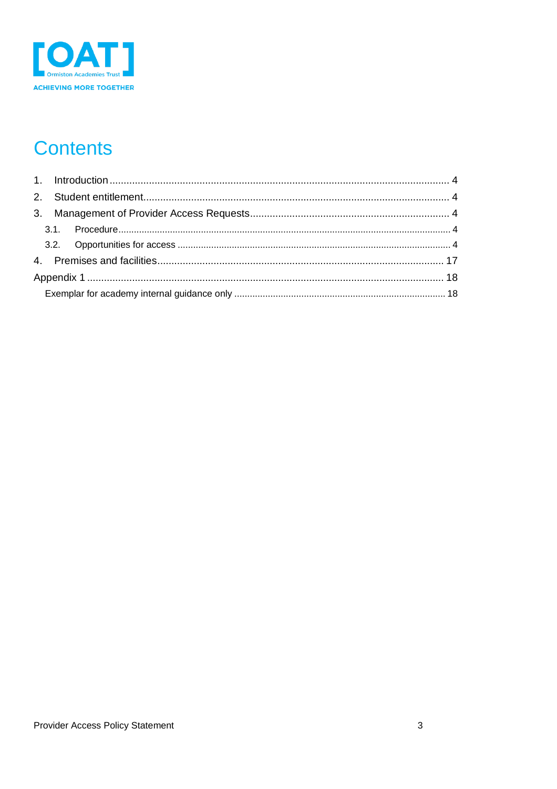

## **Contents**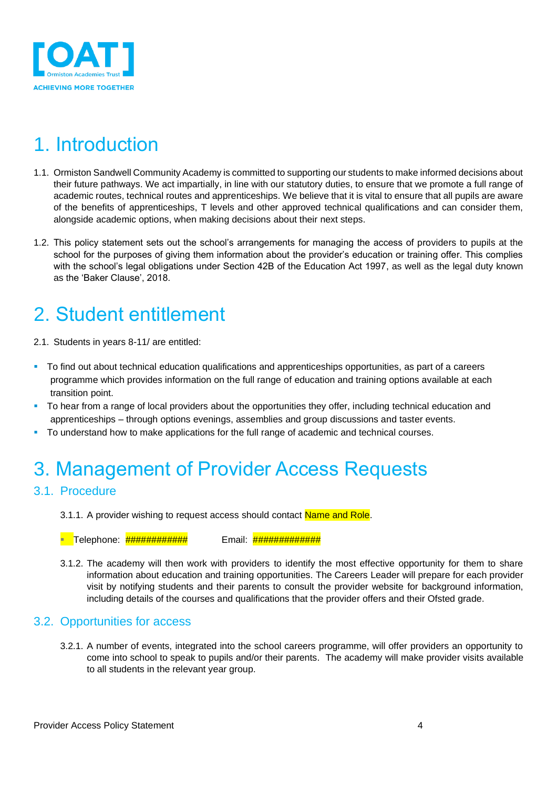

### <span id="page-3-0"></span>1. Introduction

- 1.1. Ormiston Sandwell Community Academy is committed to supporting our students to make informed decisions about their future pathways. We act impartially, in line with our statutory duties, to ensure that we promote a full range of academic routes, technical routes and apprenticeships. We believe that it is vital to ensure that all pupils are aware of the benefits of apprenticeships, T levels and other approved technical qualifications and can consider them, alongside academic options, when making decisions about their next steps.
- 1.2. This policy statement sets out the school's arrangements for managing the access of providers to pupils at the school for the purposes of giving them information about the provider's education or training offer. This complies with the school's legal obligations under Section 42B of the Education Act 1997, as well as the legal duty known as the 'Baker Clause', 2018.

### <span id="page-3-1"></span>2. Student entitlement

- 2.1. Students in years 8-11/ are entitled:
- To find out about technical education qualifications and apprenticeships opportunities, as part of a careers programme which provides information on the full range of education and training options available at each transition point.
- **•** To hear from a range of local providers about the opportunities they offer, including technical education and apprenticeships – through options evenings, assemblies and group discussions and taster events.
- To understand how to make applications for the full range of academic and technical courses.

### <span id="page-3-2"></span>3. Management of Provider Access Requests

#### <span id="page-3-3"></span>3.1. Procedure

3.1.1. A provider wishing to request access should contact Name and Role.

**■ Telephone**: <del>############</del> Email: <del>##############</del>

3.1.2. The academy will then work with providers to identify the most effective opportunity for them to share information about education and training opportunities. The Careers Leader will prepare for each provider visit by notifying students and their parents to consult the provider website for background information, including details of the courses and qualifications that the provider offers and their Ofsted grade.

#### <span id="page-3-4"></span>3.2. Opportunities for access

3.2.1. A number of events, integrated into the school careers programme, will offer providers an opportunity to come into school to speak to pupils and/or their parents. The academy will make provider visits available to all students in the relevant year group.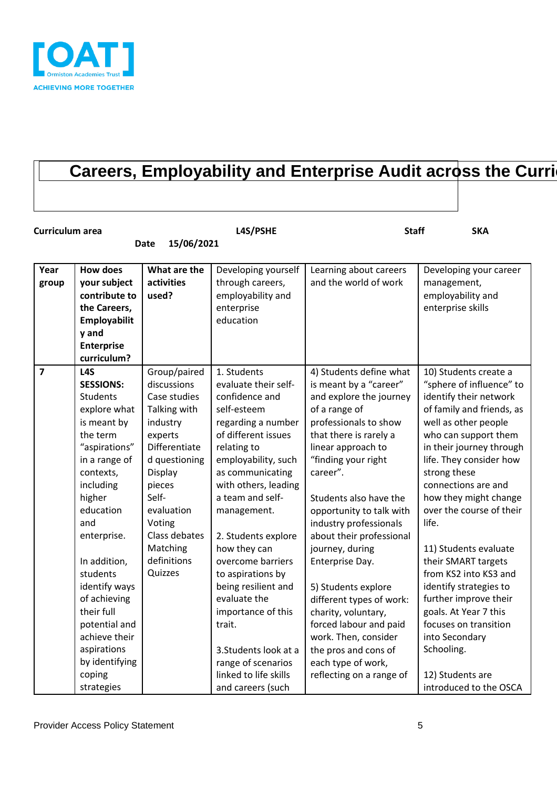

### **Careers, Employability and Enterprise Audit across the Curriculum**

| Curriculum area         |                                                                                                                                                                                                                                                                                                                                                              |                                                                                                                                                                                                                                   | L4S/PSHE                                                                                                                                                                                                                                                                                                                                                                                                                                                               | <b>Staff</b>                                                                                                                                                                                                                                                                                                                                                                                                                                                                                                                                                      | <b>SKA</b>                                                                                                                                                                                                                                                                                                                                                                                                                                                                                                                                             |
|-------------------------|--------------------------------------------------------------------------------------------------------------------------------------------------------------------------------------------------------------------------------------------------------------------------------------------------------------------------------------------------------------|-----------------------------------------------------------------------------------------------------------------------------------------------------------------------------------------------------------------------------------|------------------------------------------------------------------------------------------------------------------------------------------------------------------------------------------------------------------------------------------------------------------------------------------------------------------------------------------------------------------------------------------------------------------------------------------------------------------------|-------------------------------------------------------------------------------------------------------------------------------------------------------------------------------------------------------------------------------------------------------------------------------------------------------------------------------------------------------------------------------------------------------------------------------------------------------------------------------------------------------------------------------------------------------------------|--------------------------------------------------------------------------------------------------------------------------------------------------------------------------------------------------------------------------------------------------------------------------------------------------------------------------------------------------------------------------------------------------------------------------------------------------------------------------------------------------------------------------------------------------------|
|                         |                                                                                                                                                                                                                                                                                                                                                              | 15/06/2021<br><b>Date</b>                                                                                                                                                                                                         |                                                                                                                                                                                                                                                                                                                                                                                                                                                                        |                                                                                                                                                                                                                                                                                                                                                                                                                                                                                                                                                                   |                                                                                                                                                                                                                                                                                                                                                                                                                                                                                                                                                        |
| Year<br>group           | <b>How does</b><br>your subject<br>contribute to<br>the Careers,<br>Employabilit<br>y and<br><b>Enterprise</b><br>curriculum?                                                                                                                                                                                                                                | What are the<br>activities<br>used?                                                                                                                                                                                               | Developing yourself<br>through careers,<br>employability and<br>enterprise<br>education                                                                                                                                                                                                                                                                                                                                                                                | Learning about careers<br>and the world of work                                                                                                                                                                                                                                                                                                                                                                                                                                                                                                                   | Developing your career<br>management,<br>employability and<br>enterprise skills                                                                                                                                                                                                                                                                                                                                                                                                                                                                        |
| $\overline{\mathbf{z}}$ | L <sub>4</sub> S<br><b>SESSIONS:</b><br>Students<br>explore what<br>is meant by<br>the term<br>"aspirations"<br>in a range of<br>contexts,<br>including<br>higher<br>education<br>and<br>enterprise.<br>In addition,<br>students<br>identify ways<br>of achieving<br>their full<br>potential and<br>achieve their<br>aspirations<br>by identifying<br>coping | Group/paired<br>discussions<br>Case studies<br>Talking with<br>industry<br>experts<br>Differentiate<br>d questioning<br>Display<br>pieces<br>Self-<br>evaluation<br>Voting<br>Class debates<br>Matching<br>definitions<br>Quizzes | 1. Students<br>evaluate their self-<br>confidence and<br>self-esteem<br>regarding a number<br>of different issues<br>relating to<br>employability, such<br>as communicating<br>with others, leading<br>a team and self-<br>management.<br>2. Students explore<br>how they can<br>overcome barriers<br>to aspirations by<br>being resilient and<br>evaluate the<br>importance of this<br>trait.<br>3. Students look at a<br>range of scenarios<br>linked to life skills | 4) Students define what<br>is meant by a "career"<br>and explore the journey<br>of a range of<br>professionals to show<br>that there is rarely a<br>linear approach to<br>"finding your right<br>career".<br>Students also have the<br>opportunity to talk with<br>industry professionals<br>about their professional<br>journey, during<br>Enterprise Day.<br>5) Students explore<br>different types of work:<br>charity, voluntary,<br>forced labour and paid<br>work. Then, consider<br>the pros and cons of<br>each type of work,<br>reflecting on a range of | 10) Students create a<br>"sphere of influence" to<br>identify their network<br>of family and friends, as<br>well as other people<br>who can support them<br>in their journey through<br>life. They consider how<br>strong these<br>connections are and<br>how they might change<br>over the course of their<br>life.<br>11) Students evaluate<br>their SMART targets<br>from KS2 into KS3 and<br>identify strategies to<br>further improve their<br>goals. At Year 7 this<br>focuses on transition<br>into Secondary<br>Schooling.<br>12) Students are |
|                         | strategies                                                                                                                                                                                                                                                                                                                                                   |                                                                                                                                                                                                                                   | and careers (such                                                                                                                                                                                                                                                                                                                                                                                                                                                      |                                                                                                                                                                                                                                                                                                                                                                                                                                                                                                                                                                   | introduced to the OSCA                                                                                                                                                                                                                                                                                                                                                                                                                                                                                                                                 |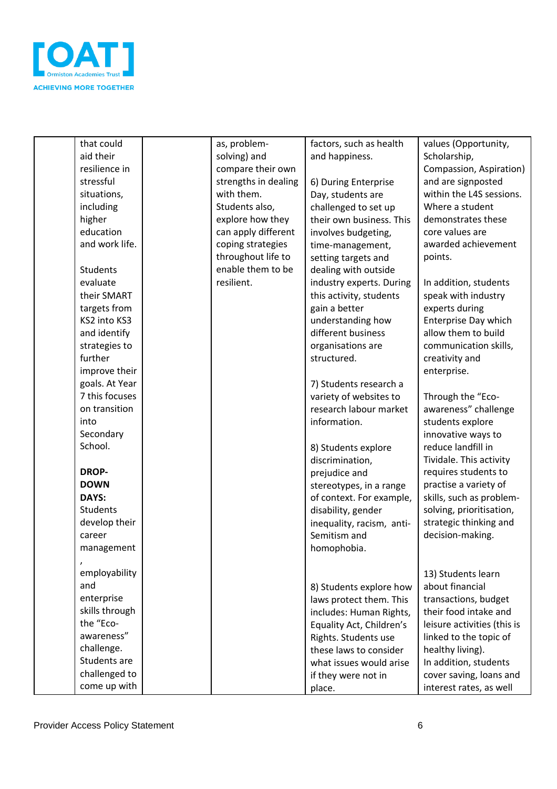

| that could     | as, problem-         | factors, such as health   | values (Opportunity,        |
|----------------|----------------------|---------------------------|-----------------------------|
| aid their      | solving) and         | and happiness.            | Scholarship,                |
| resilience in  | compare their own    |                           | Compassion, Aspiration)     |
| stressful      | strengths in dealing | 6) During Enterprise      | and are signposted          |
| situations,    | with them.           | Day, students are         | within the L4S sessions.    |
| including      | Students also,       | challenged to set up      | Where a student             |
| higher         | explore how they     | their own business. This  | demonstrates these          |
| education      | can apply different  | involves budgeting,       | core values are             |
| and work life. | coping strategies    | time-management,          | awarded achievement         |
|                | throughout life to   | setting targets and       | points.                     |
| Students       | enable them to be    | dealing with outside      |                             |
| evaluate       | resilient.           | industry experts. During  | In addition, students       |
| their SMART    |                      | this activity, students   | speak with industry         |
| targets from   |                      | gain a better             | experts during              |
| KS2 into KS3   |                      | understanding how         | Enterprise Day which        |
| and identify   |                      | different business        | allow them to build         |
| strategies to  |                      | organisations are         | communication skills,       |
| further        |                      | structured.               | creativity and              |
| improve their  |                      |                           | enterprise.                 |
| goals. At Year |                      | 7) Students research a    |                             |
| 7 this focuses |                      | variety of websites to    | Through the "Eco-           |
| on transition  |                      | research labour market    | awareness" challenge        |
| into           |                      | information.              | students explore            |
| Secondary      |                      |                           | innovative ways to          |
| School.        |                      | 8) Students explore       | reduce landfill in          |
|                |                      | discrimination,           | Tividale. This activity     |
| <b>DROP-</b>   |                      | prejudice and             | requires students to        |
| <b>DOWN</b>    |                      | stereotypes, in a range   | practise a variety of       |
| DAYS:          |                      | of context. For example,  | skills, such as problem-    |
| Students       |                      | disability, gender        | solving, prioritisation,    |
| develop their  |                      | inequality, racism, anti- | strategic thinking and      |
| career         |                      | Semitism and              | decision-making.            |
| management     |                      | homophobia.               |                             |
|                |                      |                           |                             |
| employability  |                      |                           | 13) Students learn          |
| and            |                      | 8) Students explore how   | about financial             |
| enterprise     |                      | laws protect them. This   | transactions, budget        |
| skills through |                      | includes: Human Rights,   | their food intake and       |
| the "Eco-      |                      | Equality Act, Children's  | leisure activities (this is |
| awareness"     |                      | Rights. Students use      | linked to the topic of      |
| challenge.     |                      | these laws to consider    | healthy living).            |
| Students are   |                      | what issues would arise   | In addition, students       |
| challenged to  |                      | if they were not in       | cover saving, loans and     |
| come up with   |                      | place.                    | interest rates, as well     |
|                |                      |                           |                             |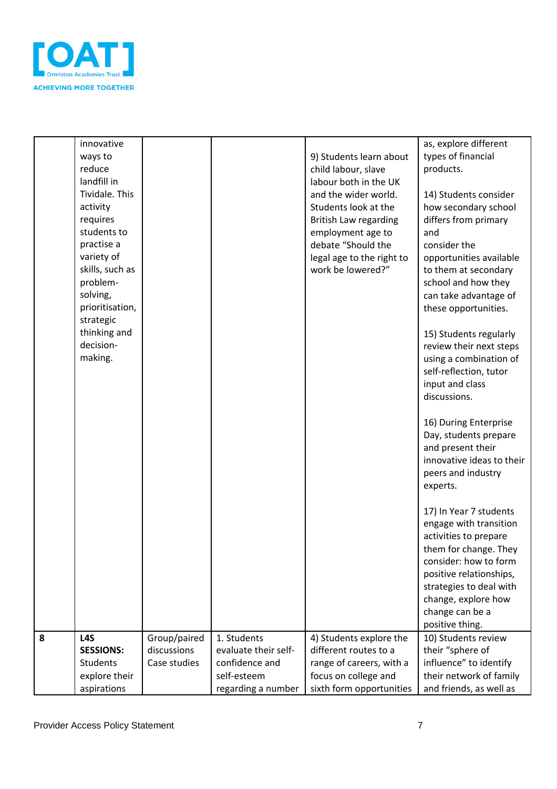

|   | innovative<br>ways to<br>reduce |              |                      | 9) Students learn about                      | as, explore different<br>types of financial<br>products. |
|---|---------------------------------|--------------|----------------------|----------------------------------------------|----------------------------------------------------------|
|   | landfill in                     |              |                      | child labour, slave<br>labour both in the UK |                                                          |
|   | Tividale. This                  |              |                      | and the wider world.                         | 14) Students consider                                    |
|   | activity                        |              |                      | Students look at the                         | how secondary school                                     |
|   | requires                        |              |                      | <b>British Law regarding</b>                 | differs from primary                                     |
|   | students to<br>practise a       |              |                      | employment age to<br>debate "Should the      | and<br>consider the                                      |
|   | variety of                      |              |                      | legal age to the right to                    | opportunities available                                  |
|   | skills, such as                 |              |                      | work be lowered?"                            | to them at secondary                                     |
|   | problem-                        |              |                      |                                              | school and how they                                      |
|   | solving,                        |              |                      |                                              | can take advantage of                                    |
|   | prioritisation,                 |              |                      |                                              | these opportunities.                                     |
|   | strategic<br>thinking and       |              |                      |                                              | 15) Students regularly                                   |
|   | decision-                       |              |                      |                                              | review their next steps                                  |
|   | making.                         |              |                      |                                              | using a combination of                                   |
|   |                                 |              |                      |                                              | self-reflection, tutor                                   |
|   |                                 |              |                      |                                              | input and class<br>discussions.                          |
|   |                                 |              |                      |                                              |                                                          |
|   |                                 |              |                      |                                              | 16) During Enterprise                                    |
|   |                                 |              |                      |                                              | Day, students prepare                                    |
|   |                                 |              |                      |                                              | and present their                                        |
|   |                                 |              |                      |                                              | innovative ideas to their                                |
|   |                                 |              |                      |                                              | peers and industry<br>experts.                           |
|   |                                 |              |                      |                                              |                                                          |
|   |                                 |              |                      |                                              | 17) In Year 7 students                                   |
|   |                                 |              |                      |                                              | engage with transition                                   |
|   |                                 |              |                      |                                              | activities to prepare<br>them for change. They           |
|   |                                 |              |                      |                                              | consider: how to form                                    |
|   |                                 |              |                      |                                              | positive relationships,                                  |
|   |                                 |              |                      |                                              | strategies to deal with                                  |
|   |                                 |              |                      |                                              | change, explore how                                      |
|   |                                 |              |                      |                                              | change can be a<br>positive thing.                       |
| 8 | L <sub>4</sub> S                | Group/paired | 1. Students          | 4) Students explore the                      | 10) Students review                                      |
|   | <b>SESSIONS:</b>                | discussions  | evaluate their self- | different routes to a                        | their "sphere of                                         |
|   | Students                        | Case studies | confidence and       | range of careers, with a                     | influence" to identify                                   |
|   | explore their                   |              | self-esteem          | focus on college and                         | their network of family                                  |
|   | aspirations                     |              | regarding a number   | sixth form opportunities                     | and friends, as well as                                  |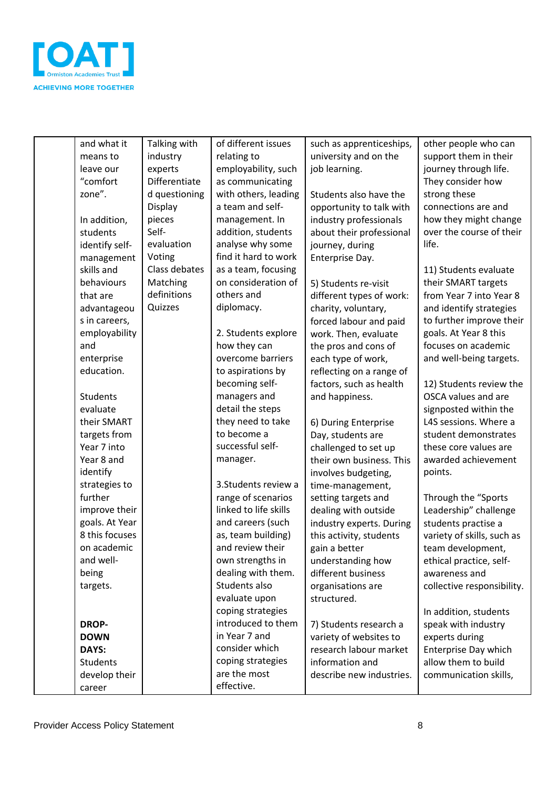

| and what it     | Talking with  | of different issues   | such as apprenticeships, | other people who can       |
|-----------------|---------------|-----------------------|--------------------------|----------------------------|
| means to        | industry      | relating to           | university and on the    | support them in their      |
| leave our       | experts       | employability, such   | job learning.            | journey through life.      |
| "comfort        | Differentiate | as communicating      |                          | They consider how          |
| zone".          | d questioning | with others, leading  | Students also have the   | strong these               |
|                 | Display       | a team and self-      | opportunity to talk with | connections are and        |
| In addition,    | pieces        | management. In        | industry professionals   | how they might change      |
| students        | Self-         | addition, students    | about their professional | over the course of their   |
| identify self-  | evaluation    | analyse why some      | journey, during          | life.                      |
| management      | Voting        | find it hard to work  | Enterprise Day.          |                            |
| skills and      | Class debates | as a team, focusing   |                          | 11) Students evaluate      |
| behaviours      | Matching      | on consideration of   | 5) Students re-visit     | their SMART targets        |
| that are        | definitions   | others and            | different types of work: | from Year 7 into Year 8    |
| advantageou     | Quizzes       | diplomacy.            | charity, voluntary,      | and identify strategies    |
| s in careers,   |               |                       | forced labour and paid   | to further improve their   |
| employability   |               | 2. Students explore   | work. Then, evaluate     | goals. At Year 8 this      |
| and             |               | how they can          | the pros and cons of     | focuses on academic        |
| enterprise      |               | overcome barriers     | each type of work,       | and well-being targets.    |
| education.      |               | to aspirations by     | reflecting on a range of |                            |
|                 |               | becoming self-        | factors, such as health  | 12) Students review the    |
| Students        |               | managers and          | and happiness.           | OSCA values and are        |
| evaluate        |               | detail the steps      |                          | signposted within the      |
| their SMART     |               | they need to take     | 6) During Enterprise     | L4S sessions. Where a      |
| targets from    |               | to become a           | Day, students are        | student demonstrates       |
| Year 7 into     |               | successful self-      | challenged to set up     | these core values are      |
| Year 8 and      |               | manager.              | their own business. This | awarded achievement        |
| identify        |               |                       | involves budgeting,      | points.                    |
| strategies to   |               | 3. Students review a  | time-management,         |                            |
| further         |               | range of scenarios    | setting targets and      | Through the "Sports        |
| improve their   |               | linked to life skills | dealing with outside     | Leadership" challenge      |
| goals. At Year  |               | and careers (such     | industry experts. During | students practise a        |
| 8 this focuses  |               | as, team building)    | this activity, students  | variety of skills, such as |
| on academic     |               | and review their      | gain a better            | team development,          |
| and well-       |               | own strengths in      | understanding how        | ethical practice, self-    |
| being           |               | dealing with them.    | different business       | awareness and              |
| targets.        |               | Students also         | organisations are        | collective responsibility. |
|                 |               | evaluate upon         | structured.              |                            |
|                 |               | coping strategies     |                          | In addition, students      |
| <b>DROP-</b>    |               | introduced to them    | 7) Students research a   | speak with industry        |
| <b>DOWN</b>     |               | in Year 7 and         | variety of websites to   | experts during             |
| DAYS:           |               | consider which        | research labour market   | Enterprise Day which       |
| <b>Students</b> |               | coping strategies     | information and          | allow them to build        |
| develop their   |               | are the most          | describe new industries. | communication skills,      |
| career          |               | effective.            |                          |                            |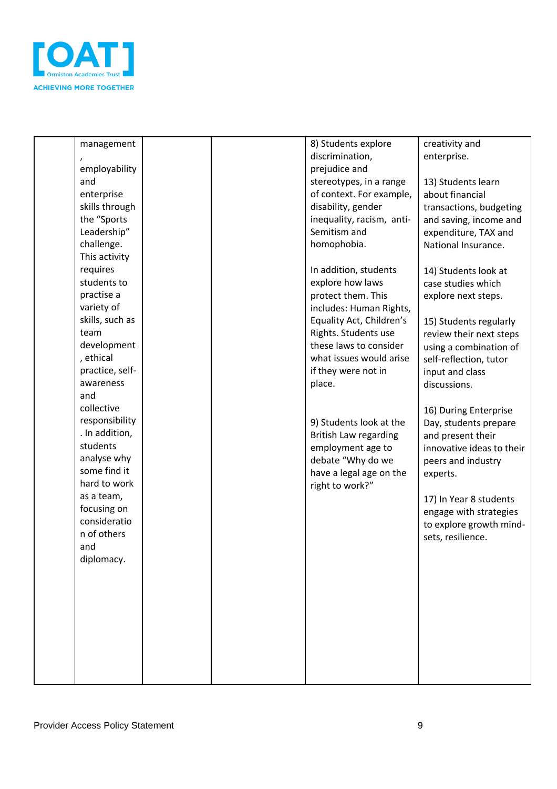

| management      |  | 8) Students explore                               | creativity and                                 |
|-----------------|--|---------------------------------------------------|------------------------------------------------|
|                 |  | discrimination,                                   | enterprise.                                    |
| employability   |  | prejudice and                                     |                                                |
| and             |  | stereotypes, in a range                           | 13) Students learn                             |
| enterprise      |  | of context. For example,                          | about financial                                |
| skills through  |  | disability, gender                                | transactions, budgeting                        |
| the "Sports     |  | inequality, racism, anti-                         | and saving, income and                         |
| Leadership"     |  | Semitism and                                      | expenditure, TAX and                           |
| challenge.      |  | homophobia.                                       | National Insurance.                            |
| This activity   |  |                                                   |                                                |
| requires        |  | In addition, students                             | 14) Students look at                           |
| students to     |  | explore how laws                                  | case studies which                             |
| practise a      |  | protect them. This                                | explore next steps.                            |
| variety of      |  | includes: Human Rights,                           |                                                |
| skills, such as |  | Equality Act, Children's                          | 15) Students regularly                         |
| team            |  | Rights. Students use                              |                                                |
| development     |  | these laws to consider                            | review their next steps                        |
| , ethical       |  | what issues would arise                           | using a combination of                         |
| practice, self- |  | if they were not in                               | self-reflection, tutor                         |
| awareness       |  | place.                                            | input and class<br>discussions.                |
| and             |  |                                                   |                                                |
| collective      |  |                                                   |                                                |
| responsibility  |  | 9) Students look at the                           | 16) During Enterprise                          |
| . In addition,  |  |                                                   | Day, students prepare                          |
| students        |  | <b>British Law regarding</b><br>employment age to | and present their<br>innovative ideas to their |
| analyse why     |  | debate "Why do we                                 |                                                |
| some find it    |  | have a legal age on the                           | peers and industry                             |
| hard to work    |  | right to work?"                                   | experts.                                       |
| as a team,      |  |                                                   |                                                |
| focusing on     |  |                                                   | 17) In Year 8 students                         |
| consideratio    |  |                                                   | engage with strategies                         |
| n of others     |  |                                                   | to explore growth mind-                        |
| and             |  |                                                   | sets, resilience.                              |
| diplomacy.      |  |                                                   |                                                |
|                 |  |                                                   |                                                |
|                 |  |                                                   |                                                |
|                 |  |                                                   |                                                |
|                 |  |                                                   |                                                |
|                 |  |                                                   |                                                |
|                 |  |                                                   |                                                |
|                 |  |                                                   |                                                |
|                 |  |                                                   |                                                |
|                 |  |                                                   |                                                |
|                 |  |                                                   |                                                |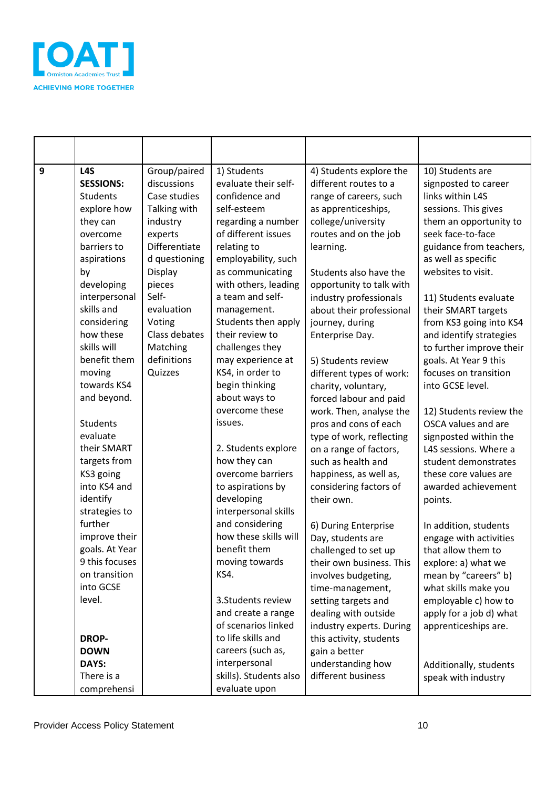

| 9 | L <sub>4</sub> S | Group/paired  | 1) Students            | 4) Students explore the  | 10) Students are         |
|---|------------------|---------------|------------------------|--------------------------|--------------------------|
|   | <b>SESSIONS:</b> | discussions   | evaluate their self-   | different routes to a    | signposted to career     |
|   | <b>Students</b>  | Case studies  | confidence and         | range of careers, such   | links within L4S         |
|   | explore how      | Talking with  | self-esteem            | as apprenticeships,      | sessions. This gives     |
|   | they can         | industry      | regarding a number     | college/university       | them an opportunity to   |
|   | overcome         | experts       | of different issues    | routes and on the job    | seek face-to-face        |
|   | barriers to      | Differentiate | relating to            | learning.                | guidance from teachers,  |
|   | aspirations      | d questioning | employability, such    |                          | as well as specific      |
|   | by               | Display       | as communicating       | Students also have the   | websites to visit.       |
|   | developing       | pieces        | with others, leading   | opportunity to talk with |                          |
|   | interpersonal    | Self-         | a team and self-       | industry professionals   | 11) Students evaluate    |
|   | skills and       | evaluation    | management.            | about their professional | their SMART targets      |
|   | considering      | Voting        | Students then apply    | journey, during          | from KS3 going into KS4  |
|   | how these        | Class debates | their review to        | Enterprise Day.          | and identify strategies  |
|   | skills will      | Matching      | challenges they        |                          | to further improve their |
|   | benefit them     | definitions   | may experience at      | 5) Students review       | goals. At Year 9 this    |
|   | moving           | Quizzes       | KS4, in order to       | different types of work: | focuses on transition    |
|   | towards KS4      |               | begin thinking         | charity, voluntary,      | into GCSE level.         |
|   | and beyond.      |               | about ways to          | forced labour and paid   |                          |
|   |                  |               | overcome these         | work. Then, analyse the  | 12) Students review the  |
|   | <b>Students</b>  |               | issues.                | pros and cons of each    | OSCA values and are      |
|   | evaluate         |               |                        | type of work, reflecting | signposted within the    |
|   | their SMART      |               | 2. Students explore    | on a range of factors,   | L4S sessions. Where a    |
|   | targets from     |               | how they can           | such as health and       | student demonstrates     |
|   | KS3 going        |               | overcome barriers      | happiness, as well as,   | these core values are    |
|   | into KS4 and     |               | to aspirations by      | considering factors of   | awarded achievement      |
|   | identify         |               | developing             | their own.               | points.                  |
|   | strategies to    |               | interpersonal skills   |                          |                          |
|   | further          |               | and considering        | 6) During Enterprise     | In addition, students    |
|   | improve their    |               | how these skills will  | Day, students are        | engage with activities   |
|   | goals. At Year   |               | benefit them           | challenged to set up     | that allow them to       |
|   | 9 this focuses   |               | moving towards         | their own business. This | explore: a) what we      |
|   | on transition    |               | KS4.                   | involves budgeting,      | mean by "careers" b)     |
|   | into GCSE        |               |                        | time-management,         | what skills make you     |
|   | level.           |               | 3. Students review     | setting targets and      | employable c) how to     |
|   |                  |               | and create a range     | dealing with outside     | apply for a job d) what  |
|   |                  |               | of scenarios linked    | industry experts. During | apprenticeships are.     |
|   | <b>DROP-</b>     |               | to life skills and     | this activity, students  |                          |
|   | <b>DOWN</b>      |               | careers (such as,      | gain a better            |                          |
|   | DAYS:            |               | interpersonal          | understanding how        | Additionally, students   |
|   | There is a       |               | skills). Students also | different business       | speak with industry      |
|   | comprehensi      |               | evaluate upon          |                          |                          |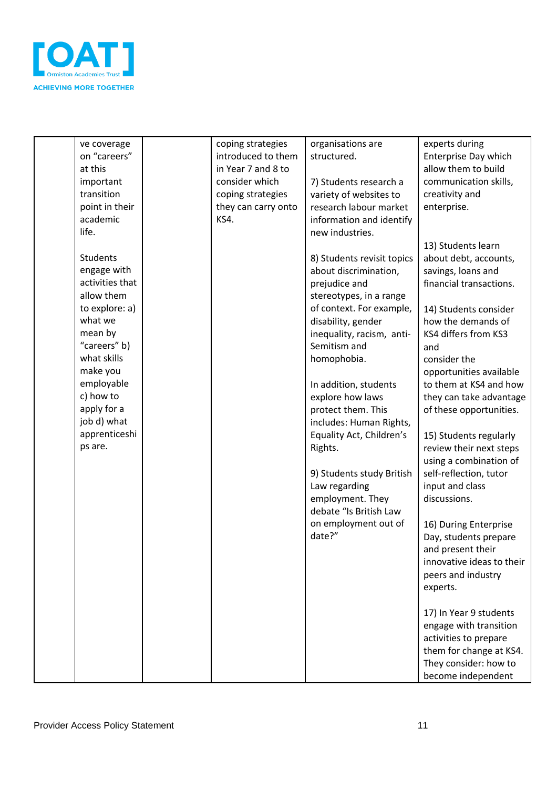

| ve coverage     | coping strategies   | organisations are          | experts during            |
|-----------------|---------------------|----------------------------|---------------------------|
| on "careers"    | introduced to them  | structured.                | Enterprise Day which      |
| at this         | in Year 7 and 8 to  |                            | allow them to build       |
| important       | consider which      | 7) Students research a     | communication skills,     |
| transition      | coping strategies   | variety of websites to     | creativity and            |
| point in their  | they can carry onto | research labour market     | enterprise.               |
| academic        | <b>KS4.</b>         |                            |                           |
| life.           |                     | information and identify   |                           |
|                 |                     | new industries.            |                           |
|                 |                     |                            | 13) Students learn        |
| Students        |                     | 8) Students revisit topics | about debt, accounts,     |
| engage with     |                     | about discrimination,      | savings, loans and        |
| activities that |                     | prejudice and              | financial transactions.   |
| allow them      |                     | stereotypes, in a range    |                           |
| to explore: a)  |                     | of context. For example,   | 14) Students consider     |
| what we         |                     | disability, gender         | how the demands of        |
| mean by         |                     | inequality, racism, anti-  | KS4 differs from KS3      |
| "careers" b)    |                     | Semitism and               | and                       |
| what skills     |                     | homophobia.                | consider the              |
| make you        |                     |                            | opportunities available   |
| employable      |                     | In addition, students      | to them at KS4 and how    |
| c) how to       |                     | explore how laws           | they can take advantage   |
| apply for a     |                     |                            |                           |
|                 |                     | protect them. This         | of these opportunities.   |
| job d) what     |                     | includes: Human Rights,    |                           |
| apprenticeshi   |                     | Equality Act, Children's   | 15) Students regularly    |
| ps are.         |                     | Rights.                    | review their next steps   |
|                 |                     |                            | using a combination of    |
|                 |                     | 9) Students study British  | self-reflection, tutor    |
|                 |                     | Law regarding              | input and class           |
|                 |                     | employment. They           | discussions.              |
|                 |                     | debate "Is British Law     |                           |
|                 |                     | on employment out of       | 16) During Enterprise     |
|                 |                     | date?"                     | Day, students prepare     |
|                 |                     |                            | and present their         |
|                 |                     |                            | innovative ideas to their |
|                 |                     |                            |                           |
|                 |                     |                            | peers and industry        |
|                 |                     |                            | experts.                  |
|                 |                     |                            |                           |
|                 |                     |                            | 17) In Year 9 students    |
|                 |                     |                            | engage with transition    |
|                 |                     |                            | activities to prepare     |
|                 |                     |                            | them for change at KS4.   |
|                 |                     |                            | They consider: how to     |
|                 |                     |                            | become independent        |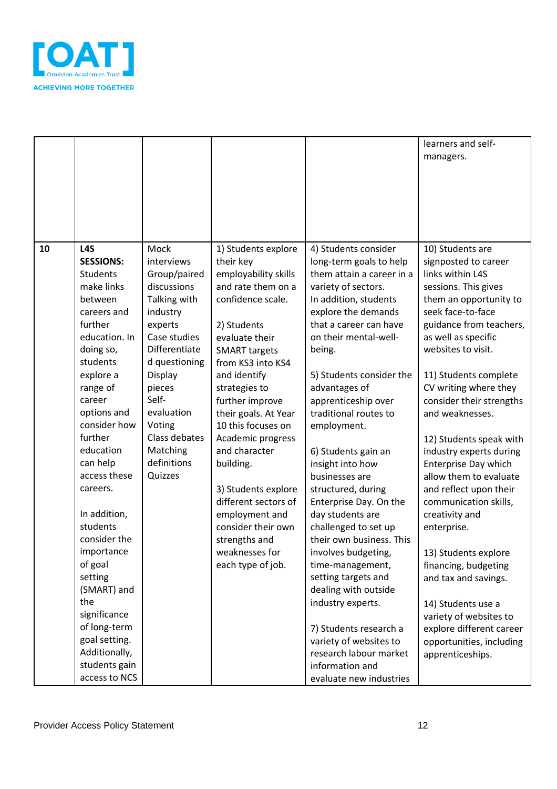

|    |                  |               |                      |                           | learners and self-       |
|----|------------------|---------------|----------------------|---------------------------|--------------------------|
|    |                  |               |                      |                           | managers.                |
|    |                  |               |                      |                           |                          |
|    |                  |               |                      |                           |                          |
|    |                  |               |                      |                           |                          |
|    |                  |               |                      |                           |                          |
|    |                  |               |                      |                           |                          |
|    |                  |               |                      |                           |                          |
| 10 | L <sub>4</sub> S | Mock          | 1) Students explore  | 4) Students consider      | 10) Students are         |
|    | <b>SESSIONS:</b> | interviews    | their key            | long-term goals to help   | signposted to career     |
|    | <b>Students</b>  | Group/paired  | employability skills | them attain a career in a | links within L4S         |
|    | make links       | discussions   | and rate them on a   | variety of sectors.       | sessions. This gives     |
|    | between          | Talking with  | confidence scale.    | In addition, students     | them an opportunity to   |
|    | careers and      | industry      |                      | explore the demands       | seek face-to-face        |
|    | further          | experts       | 2) Students          | that a career can have    | guidance from teachers,  |
|    | education. In    | Case studies  | evaluate their       | on their mental-well-     | as well as specific      |
|    | doing so,        | Differentiate | <b>SMART targets</b> | being.                    | websites to visit.       |
|    | students         | d questioning | from KS3 into KS4    |                           |                          |
|    | explore a        | Display       | and identify         | 5) Students consider the  | 11) Students complete    |
|    | range of         | pieces        | strategies to        | advantages of             | CV writing where they    |
|    | career           | Self-         | further improve      | apprenticeship over       | consider their strengths |
|    | options and      | evaluation    | their goals. At Year | traditional routes to     | and weaknesses.          |
|    | consider how     | Voting        | 10 this focuses on   | employment.               |                          |
|    | further          | Class debates | Academic progress    |                           | 12) Students speak with  |
|    | education        | Matching      | and character        | 6) Students gain an       | industry experts during  |
|    | can help         | definitions   | building.            | insight into how          | Enterprise Day which     |
|    | access these     | Quizzes       |                      | businesses are            | allow them to evaluate   |
|    | careers.         |               | 3) Students explore  | structured, during        | and reflect upon their   |
|    |                  |               | different sectors of | Enterprise Day. On the    | communication skills,    |
|    | In addition,     |               | employment and       | day students are          | creativity and           |
|    | students         |               | consider their own   | challenged to set up      | enterprise.              |
|    | consider the     |               | strengths and        | their own business. This  |                          |
|    | importance       |               | weaknesses for       | involves budgeting,       | 13) Students explore     |
|    | of goal          |               | each type of job.    | time-management,          | financing, budgeting     |
|    | setting          |               |                      | setting targets and       | and tax and savings.     |
|    | (SMART) and      |               |                      | dealing with outside      |                          |
|    | the              |               |                      | industry experts.         | 14) Students use a       |
|    | significance     |               |                      |                           | variety of websites to   |
|    | of long-term     |               |                      | 7) Students research a    | explore different career |
|    | goal setting.    |               |                      | variety of websites to    | opportunities, including |
|    | Additionally,    |               |                      | research labour market    | apprenticeships.         |
|    | students gain    |               |                      | information and           |                          |
|    | access to NCS    |               |                      | evaluate new industries   |                          |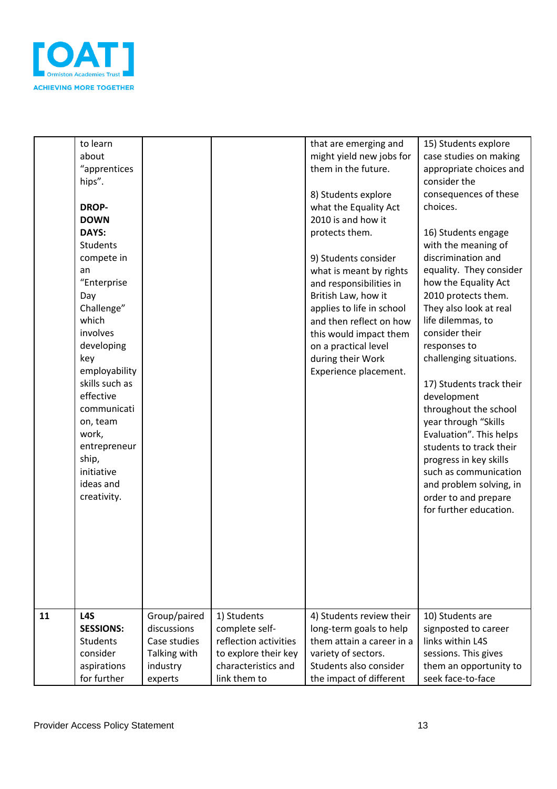

|    | to learn<br>about<br>"apprentices<br>hips".<br><b>DROP-</b><br><b>DOWN</b><br>DAYS:<br><b>Students</b><br>compete in<br>an<br>"Enterprise<br>Day<br>Challenge"                                |                             |                               | that are emerging and<br>might yield new jobs for<br>them in the future.<br>8) Students explore<br>what the Equality Act<br>2010 is and how it<br>protects them.<br>9) Students consider<br>what is meant by rights<br>and responsibilities in<br>British Law, how it<br>applies to life in school | 15) Students explore<br>case studies on making<br>appropriate choices and<br>consider the<br>consequences of these<br>choices.<br>16) Students engage<br>with the meaning of<br>discrimination and<br>equality. They consider<br>how the Equality Act<br>2010 protects them.<br>They also look at real                                                           |
|----|-----------------------------------------------------------------------------------------------------------------------------------------------------------------------------------------------|-----------------------------|-------------------------------|----------------------------------------------------------------------------------------------------------------------------------------------------------------------------------------------------------------------------------------------------------------------------------------------------|------------------------------------------------------------------------------------------------------------------------------------------------------------------------------------------------------------------------------------------------------------------------------------------------------------------------------------------------------------------|
|    | which<br>involves<br>developing<br>key<br>employability<br>skills such as<br>effective<br>communicati<br>on, team<br>work,<br>entrepreneur<br>ship,<br>initiative<br>ideas and<br>creativity. |                             |                               | and then reflect on how<br>this would impact them<br>on a practical level<br>during their Work<br>Experience placement.                                                                                                                                                                            | life dilemmas, to<br>consider their<br>responses to<br>challenging situations.<br>17) Students track their<br>development<br>throughout the school<br>year through "Skills<br>Evaluation". This helps<br>students to track their<br>progress in key skills<br>such as communication<br>and problem solving, in<br>order to and prepare<br>for further education. |
| 11 | L <sub>4</sub> S<br><b>SESSIONS:</b>                                                                                                                                                          | Group/paired<br>discussions | 1) Students<br>complete self- | 4) Students review their<br>long-term goals to help                                                                                                                                                                                                                                                | 10) Students are<br>signposted to career                                                                                                                                                                                                                                                                                                                         |
|    | <b>Students</b>                                                                                                                                                                               | Case studies                | reflection activities         | them attain a career in a                                                                                                                                                                                                                                                                          | links within L4S                                                                                                                                                                                                                                                                                                                                                 |
|    | consider                                                                                                                                                                                      | Talking with                | to explore their key          | variety of sectors.                                                                                                                                                                                                                                                                                | sessions. This gives                                                                                                                                                                                                                                                                                                                                             |
|    | aspirations                                                                                                                                                                                   | industry                    | characteristics and           | Students also consider                                                                                                                                                                                                                                                                             | them an opportunity to                                                                                                                                                                                                                                                                                                                                           |
|    | for further                                                                                                                                                                                   | experts                     | link them to                  | the impact of different                                                                                                                                                                                                                                                                            | seek face-to-face                                                                                                                                                                                                                                                                                                                                                |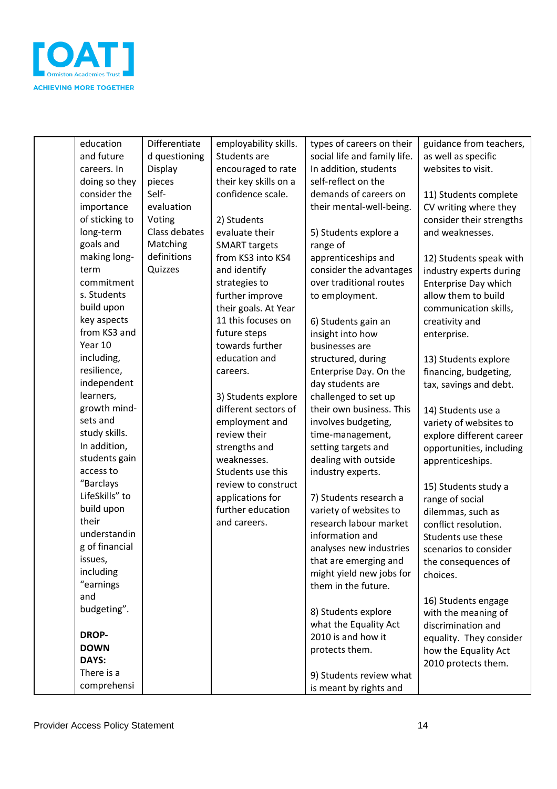

| education<br>and future | Differentiate | employability skills.<br>Students are | types of careers on their    | guidance from teachers,     |
|-------------------------|---------------|---------------------------------------|------------------------------|-----------------------------|
|                         | d questioning |                                       | social life and family life. | as well as specific         |
| careers. In             | Display       | encouraged to rate                    | In addition, students        | websites to visit.          |
| doing so they           | pieces        | their key skills on a                 | self-reflect on the          |                             |
| consider the            | Self-         | confidence scale.                     | demands of careers on        | 11) Students complete       |
| importance              | evaluation    |                                       | their mental-well-being.     | CV writing where they       |
| of sticking to          | Voting        | 2) Students                           |                              | consider their strengths    |
| long-term               | Class debates | evaluate their                        | 5) Students explore a        | and weaknesses.             |
| goals and               | Matching      | <b>SMART targets</b>                  | range of                     |                             |
| making long-            | definitions   | from KS3 into KS4                     | apprenticeships and          | 12) Students speak with     |
| term                    | Quizzes       | and identify                          | consider the advantages      | industry experts during     |
| commitment              |               | strategies to                         | over traditional routes      | <b>Enterprise Day which</b> |
| s. Students             |               | further improve                       | to employment.               | allow them to build         |
| build upon              |               | their goals. At Year                  |                              | communication skills,       |
| key aspects             |               | 11 this focuses on                    | 6) Students gain an          | creativity and              |
| from KS3 and            |               | future steps                          | insight into how             | enterprise.                 |
| Year 10                 |               | towards further                       | businesses are               |                             |
| including,              |               | education and                         | structured, during           | 13) Students explore        |
| resilience,             |               | careers.                              | Enterprise Day. On the       | financing, budgeting,       |
| independent             |               |                                       | day students are             | tax, savings and debt.      |
| learners,               |               | 3) Students explore                   | challenged to set up         |                             |
| growth mind-            |               | different sectors of                  | their own business. This     | 14) Students use a          |
| sets and                |               | employment and                        | involves budgeting,          | variety of websites to      |
| study skills.           |               | review their                          | time-management,             | explore different career    |
| In addition,            |               | strengths and                         | setting targets and          | opportunities, including    |
| students gain           |               | weaknesses.                           | dealing with outside         | apprenticeships.            |
| access to               |               | Students use this                     | industry experts.            |                             |
| "Barclays               |               | review to construct                   |                              | 15) Students study a        |
| LifeSkills" to          |               | applications for                      | 7) Students research a       | range of social             |
| build upon              |               | further education                     | variety of websites to       | dilemmas, such as           |
| their                   |               | and careers.                          | research labour market       | conflict resolution.        |
| understandin            |               |                                       | information and              | Students use these          |
| g of financial          |               |                                       | analyses new industries      | scenarios to consider       |
| issues,                 |               |                                       | that are emerging and        | the consequences of         |
| including               |               |                                       | might yield new jobs for     | choices.                    |
| "earnings               |               |                                       | them in the future.          |                             |
| and                     |               |                                       |                              | 16) Students engage         |
| budgeting".             |               |                                       | 8) Students explore          | with the meaning of         |
|                         |               |                                       | what the Equality Act        | discrimination and          |
| <b>DROP-</b>            |               |                                       | 2010 is and how it           | equality. They consider     |
| <b>DOWN</b>             |               |                                       | protects them.               | how the Equality Act        |
| DAYS:                   |               |                                       |                              | 2010 protects them.         |
| There is a              |               |                                       | 9) Students review what      |                             |
| comprehensi             |               |                                       | is meant by rights and       |                             |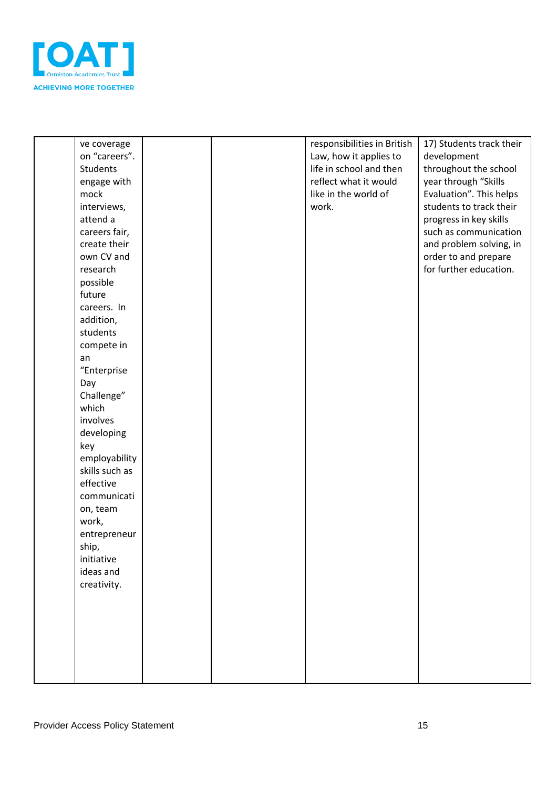

| ve coverage<br>on "careers".<br><b>Students</b><br>engage with<br>mock<br>interviews,<br>attend a<br>careers fair,<br>create their<br>own CV and<br>research<br>possible<br>future<br>careers. In<br>addition,<br>students<br>compete in<br>an<br>"Enterprise<br>Day<br>Challenge"<br>which<br>involves<br>developing<br>key<br>employability<br>skills such as<br>effective<br>communicati<br>on, team<br>work,<br>entrepreneur<br>ship,<br>initiative<br>ideas and<br>creativity. |  | responsibilities in British<br>Law, how it applies to<br>life in school and then<br>reflect what it would<br>like in the world of<br>work. | 17) Students track their<br>development<br>throughout the school<br>year through "Skills<br>Evaluation". This helps<br>students to track their<br>progress in key skills<br>such as communication<br>and problem solving, in<br>order to and prepare<br>for further education. |
|-------------------------------------------------------------------------------------------------------------------------------------------------------------------------------------------------------------------------------------------------------------------------------------------------------------------------------------------------------------------------------------------------------------------------------------------------------------------------------------|--|--------------------------------------------------------------------------------------------------------------------------------------------|--------------------------------------------------------------------------------------------------------------------------------------------------------------------------------------------------------------------------------------------------------------------------------|
|                                                                                                                                                                                                                                                                                                                                                                                                                                                                                     |  |                                                                                                                                            |                                                                                                                                                                                                                                                                                |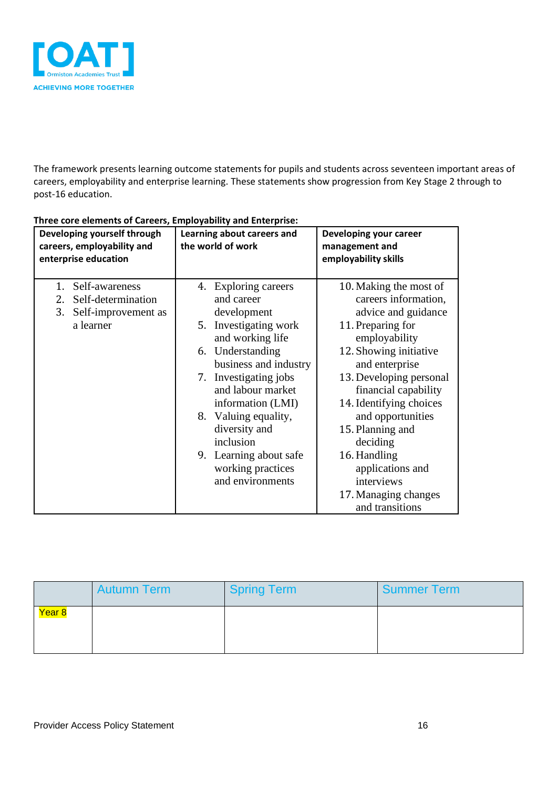

The framework presents learning outcome statements for pupils and students across seventeen important areas of careers, employability and enterprise learning. These statements show progression from Key Stage 2 through to post-16 education.

| Developing yourself through<br>careers, employability and<br>enterprise education          | Learning about careers and<br>the world of work                                                                                                                                                                                                                                                                                            | Developing your career<br>management and<br>employability skills                                                                                                                                                                                                                                                                                                                        |
|--------------------------------------------------------------------------------------------|--------------------------------------------------------------------------------------------------------------------------------------------------------------------------------------------------------------------------------------------------------------------------------------------------------------------------------------------|-----------------------------------------------------------------------------------------------------------------------------------------------------------------------------------------------------------------------------------------------------------------------------------------------------------------------------------------------------------------------------------------|
| Self-awareness<br>1.<br>Self-determination<br>2.<br>3.<br>Self-improvement as<br>a learner | 4. Exploring careers<br>and career<br>development<br>Investigating work<br>5.<br>and working life<br>6. Understanding<br>business and industry<br>7. Investigating jobs<br>and labour market<br>information (LMI)<br>8. Valuing equality,<br>diversity and<br>inclusion<br>9. Learning about safe<br>working practices<br>and environments | 10. Making the most of<br>careers information,<br>advice and guidance<br>11. Preparing for<br>employability<br>12. Showing initiative<br>and enterprise<br>13. Developing personal<br>financial capability<br>14. Identifying choices<br>and opportunities<br>15. Planning and<br>deciding<br>16. Handling<br>applications and<br>interviews<br>17. Managing changes<br>and transitions |

#### **Three core elements of Careers, Employability and Enterprise:**

|        | <b>Autumn Term</b> | Spring Term | <b>Summer Term</b> |
|--------|--------------------|-------------|--------------------|
| Year 8 |                    |             |                    |
|        |                    |             |                    |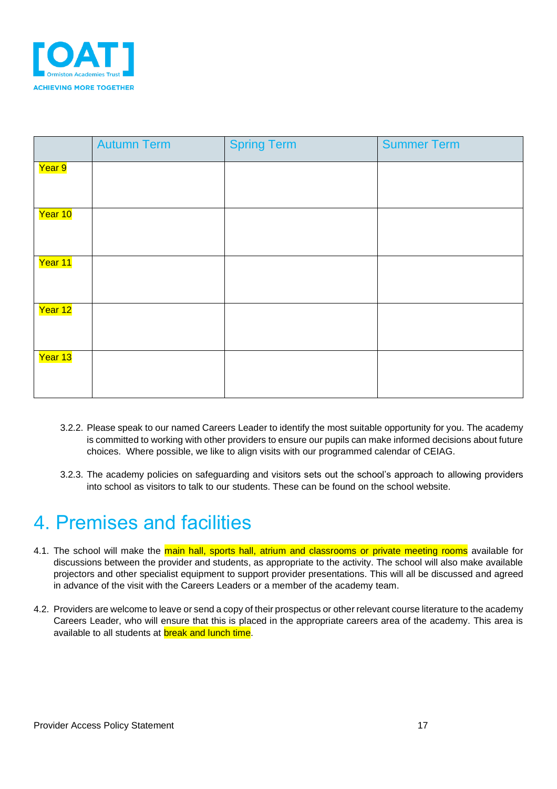

|         | <b>Autumn Term</b> | <b>Spring Term</b> | <b>Summer Term</b> |
|---------|--------------------|--------------------|--------------------|
| Year 9  |                    |                    |                    |
| Year 10 |                    |                    |                    |
| Year 11 |                    |                    |                    |
| Year 12 |                    |                    |                    |
| Year 13 |                    |                    |                    |

- 3.2.2. Please speak to our named Careers Leader to identify the most suitable opportunity for you. The academy is committed to working with other providers to ensure our pupils can make informed decisions about future choices. Where possible, we like to align visits with our programmed calendar of CEIAG.
- 3.2.3. The academy policies on safeguarding and visitors sets out the school's approach to allowing providers into school as visitors to talk to our students. These can be found on the school website.

### <span id="page-16-0"></span>4. Premises and facilities

- 4.1. The school will make the main hall, sports hall, atrium and classrooms or private meeting rooms available for discussions between the provider and students, as appropriate to the activity. The school will also make available projectors and other specialist equipment to support provider presentations. This will all be discussed and agreed in advance of the visit with the Careers Leaders or a member of the academy team.
- 4.2. Providers are welcome to leave or send a copy of their prospectus or other relevant course literature to the academy Careers Leader, who will ensure that this is placed in the appropriate careers area of the academy. This area is available to all students at **break and lunch time.**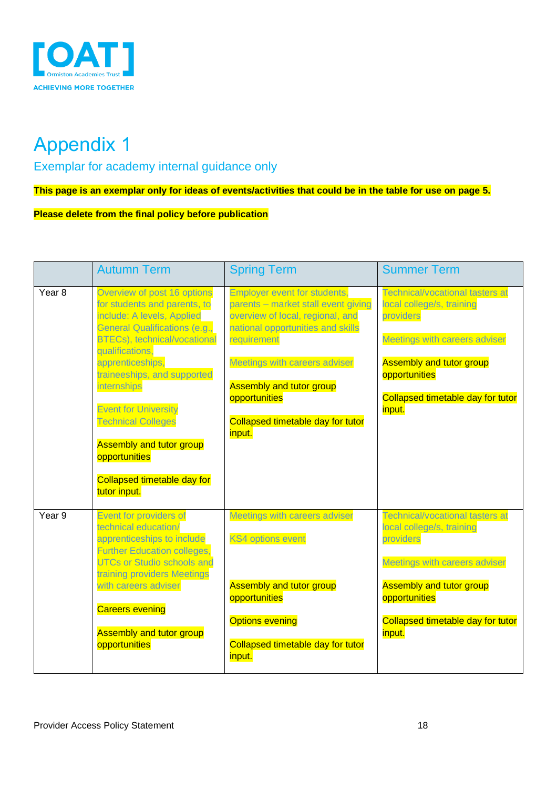

# <span id="page-17-0"></span>Appendix 1

<span id="page-17-1"></span>Exemplar for academy internal guidance only

**This page is an exemplar only for ideas of events/activities that could be in the table for use on page 5.**

**Please delete from the final policy before publication**

|                   | <b>Autumn Term</b>                                                                                                                                                                                                                                                                                                                                                                                                            | <b>Spring Term</b>                                                                                                                                                                                                                                                                                            | <b>Summer Term</b>                                                                                                                                                                                                          |
|-------------------|-------------------------------------------------------------------------------------------------------------------------------------------------------------------------------------------------------------------------------------------------------------------------------------------------------------------------------------------------------------------------------------------------------------------------------|---------------------------------------------------------------------------------------------------------------------------------------------------------------------------------------------------------------------------------------------------------------------------------------------------------------|-----------------------------------------------------------------------------------------------------------------------------------------------------------------------------------------------------------------------------|
| Year <sub>8</sub> | Overview of post 16 options<br>for students and parents, to<br>include: A levels, Applied<br><b>General Qualifications (e.g.,</b><br><b>BTECs)</b> , technical/vocational<br>qualifications.<br>apprenticeships,<br>traineeships, and supported<br>internships<br><b>Event for University</b><br><b>Technical Colleges</b><br><b>Assembly and tutor group</b><br>opportunities<br>Collapsed timetable day for<br>tutor input. | <b>Employer event for students,</b><br>parents - market stall event giving<br>overview of local, regional, and<br>national opportunities and skills<br>requirement<br><b>Meetings with careers adviser</b><br><b>Assembly and tutor group</b><br>opportunities<br>Collapsed timetable day for tutor<br>input. | <b>Technical/vocational tasters at</b><br>local college/s, training<br>providers<br><b>Meetings with careers adviser</b><br><b>Assembly and tutor group</b><br>opportunities<br>Collapsed timetable day for tutor<br>input. |
| Year <sub>9</sub> | <b>Event for providers of</b><br>technical education/<br>apprenticeships to include<br><b>Further Education colleges,</b><br><b>UTCs or Studio schools and</b><br>training providers Meetings<br>with careers adviser<br><b>Careers evening</b><br><b>Assembly and tutor group</b><br>opportunities                                                                                                                           | Meetings with careers adviser<br><b>KS4 options event</b><br><b>Assembly and tutor group</b><br>opportunities<br><b>Options evening</b><br>Collapsed timetable day for tutor<br>input.                                                                                                                        | <b>Technical/vocational tasters at</b><br>local college/s, training<br>providers<br>Meetings with careers adviser<br><b>Assembly and tutor group</b><br>opportunities<br>Collapsed timetable day for tutor<br>input.        |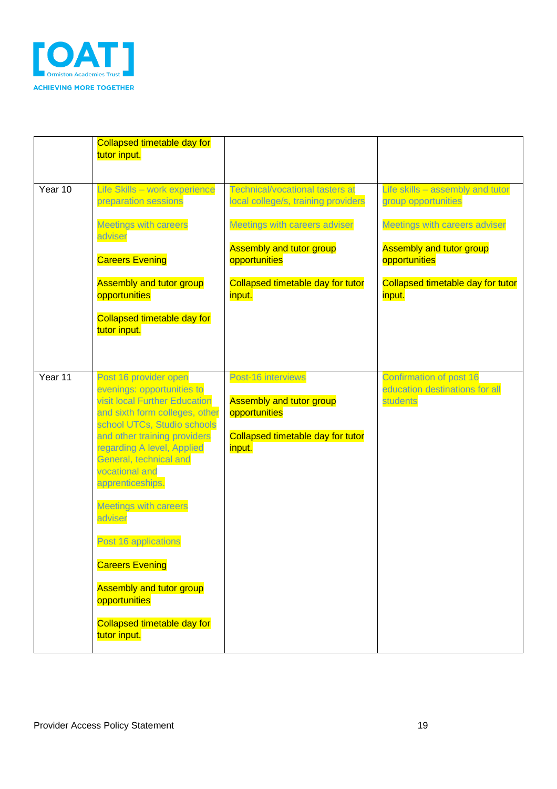

|         | <b>Collapsed timetable day for</b><br>tutor input.                                                                                                                                                                                                   |                                                                                                                       |                                                                       |
|---------|------------------------------------------------------------------------------------------------------------------------------------------------------------------------------------------------------------------------------------------------------|-----------------------------------------------------------------------------------------------------------------------|-----------------------------------------------------------------------|
| Year 10 | Life Skills - work experience<br>preparation sessions                                                                                                                                                                                                | Technical/vocational tasters at<br>local college/s, training providers                                                | Life skills - assembly and tutor<br>group opportunities               |
|         | <b>Meetings with careers</b><br>adviser                                                                                                                                                                                                              | Meetings with careers adviser                                                                                         | Meetings with careers adviser                                         |
|         | <b>Careers Evening</b>                                                                                                                                                                                                                               | <b>Assembly and tutor group</b><br>opportunities                                                                      | <b>Assembly and tutor group</b><br>opportunities                      |
|         | <b>Assembly and tutor group</b><br>opportunities                                                                                                                                                                                                     | Collapsed timetable day for tutor<br>input.                                                                           | Collapsed timetable day for tutor<br>input.                           |
|         | Collapsed timetable day for<br>tutor input.                                                                                                                                                                                                          |                                                                                                                       |                                                                       |
|         |                                                                                                                                                                                                                                                      |                                                                                                                       |                                                                       |
| Year 11 | Post 16 provider open<br>evenings: opportunities to<br><b>visit local Further Education</b><br>and sixth form colleges, other<br>school UTCs, Studio schools<br>and other training providers<br>regarding A level, Applied<br>General, technical and | Post-16 interviews<br><b>Assembly and tutor group</b><br>opportunities<br>Collapsed timetable day for tutor<br>input. | Confirmation of post 16<br>education destinations for all<br>students |
|         | vocational and<br>apprenticeships.                                                                                                                                                                                                                   |                                                                                                                       |                                                                       |
|         | <b>Meetings with careers</b><br>adviser                                                                                                                                                                                                              |                                                                                                                       |                                                                       |
|         | Post 16 applications<br><b>Careers Evening</b>                                                                                                                                                                                                       |                                                                                                                       |                                                                       |
|         | <b>Assembly and tutor group</b><br>opportunities                                                                                                                                                                                                     |                                                                                                                       |                                                                       |
|         | Collapsed timetable day for<br>tutor input.                                                                                                                                                                                                          |                                                                                                                       |                                                                       |